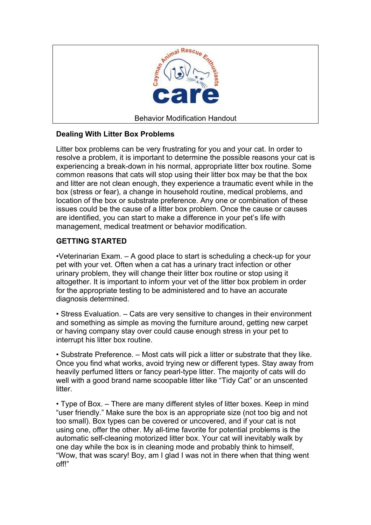

# **Dealing With Litter Box Problems**

Litter box problems can be very frustrating for you and your cat. In order to resolve a problem, it is important to determine the possible reasons your cat is experiencing a break-down in his normal, appropriate litter box routine. Some common reasons that cats will stop using their litter box may be that the box and litter are not clean enough, they experience a traumatic event while in the box (stress or fear), a change in household routine, medical problems, and location of the box or substrate preference. Any one or combination of these issues could be the cause of a litter box problem. Once the cause or causes are identified, you can start to make a difference in your pet's life with management, medical treatment or behavior modification.

# **GETTING STARTED**

•Veterinarian Exam. – A good place to start is scheduling a check-up for your pet with your vet. Often when a cat has a urinary tract infection or other urinary problem, they will change their litter box routine or stop using it altogether. It is important to inform your vet of the litter box problem in order for the appropriate testing to be administered and to have an accurate diagnosis determined.

• Stress Evaluation. – Cats are very sensitive to changes in their environment and something as simple as moving the furniture around, getting new carpet or having company stay over could cause enough stress in your pet to interrupt his litter box routine.

• Substrate Preference. – Most cats will pick a litter or substrate that they like. Once you find what works, avoid trying new or different types. Stay away from heavily perfumed litters or fancy pearl-type litter. The majority of cats will do well with a good brand name scoopable litter like "Tidy Cat" or an unscented litter.

• Type of Box. – There are many different styles of litter boxes. Keep in mind "user friendly." Make sure the box is an appropriate size (not too big and not too small). Box types can be covered or uncovered, and if your cat is not using one, offer the other. My all-time favorite for potential problems is the automatic self-cleaning motorized litter box. Your cat will inevitably walk by one day while the box is in cleaning mode and probably think to himself, "Wow, that was scary! Boy, am I glad I was not in there when that thing went off!"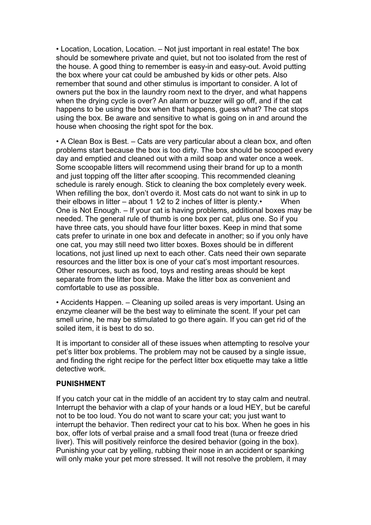• Location, Location, Location. – Not just important in real estate! The box should be somewhere private and quiet, but not too isolated from the rest of the house. A good thing to remember is easy-in and easy-out. Avoid putting the box where your cat could be ambushed by kids or other pets. Also remember that sound and other stimulus is important to consider. A lot of owners put the box in the laundry room next to the dryer, and what happens when the drying cycle is over? An alarm or buzzer will go off, and if the cat happens to be using the box when that happens, guess what? The cat stops using the box. Be aware and sensitive to what is going on in and around the house when choosing the right spot for the box.

• A Clean Box is Best. – Cats are very particular about a clean box, and often problems start because the box is too dirty. The box should be scooped every day and emptied and cleaned out with a mild soap and water once a week. Some scoopable litters will recommend using their brand for up to a month and just topping off the litter after scooping. This recommended cleaning schedule is rarely enough. Stick to cleaning the box completely every week. When refilling the box, don't overdo it. Most cats do not want to sink in up to their elbows in litter – about 1  $1/2$  to 2 inches of litter is plenty. When One is Not Enough. – If your cat is having problems, additional boxes may be needed. The general rule of thumb is one box per cat, plus one. So if you have three cats, you should have four litter boxes. Keep in mind that some cats prefer to urinate in one box and defecate in another; so if you only have one cat, you may still need two litter boxes. Boxes should be in different locations, not just lined up next to each other. Cats need their own separate resources and the litter box is one of your cat's most important resources. Other resources, such as food, toys and resting areas should be kept separate from the litter box area. Make the litter box as convenient and comfortable to use as possible.

• Accidents Happen. – Cleaning up soiled areas is very important. Using an enzyme cleaner will be the best way to eliminate the scent. If your pet can smell urine, he may be stimulated to go there again. If you can get rid of the soiled item, it is best to do so.

It is important to consider all of these issues when attempting to resolve your pet's litter box problems. The problem may not be caused by a single issue, and finding the right recipe for the perfect litter box etiquette may take a little detective work.

#### **PUNISHMENT**

If you catch your cat in the middle of an accident try to stay calm and neutral. Interrupt the behavior with a clap of your hands or a loud HEY, but be careful not to be too loud. You do not want to scare your cat; you just want to interrupt the behavior. Then redirect your cat to his box. When he goes in his box, offer lots of verbal praise and a small food treat (tuna or freeze dried liver). This will positively reinforce the desired behavior (going in the box). Punishing your cat by yelling, rubbing their nose in an accident or spanking will only make your pet more stressed. It will not resolve the problem, it may